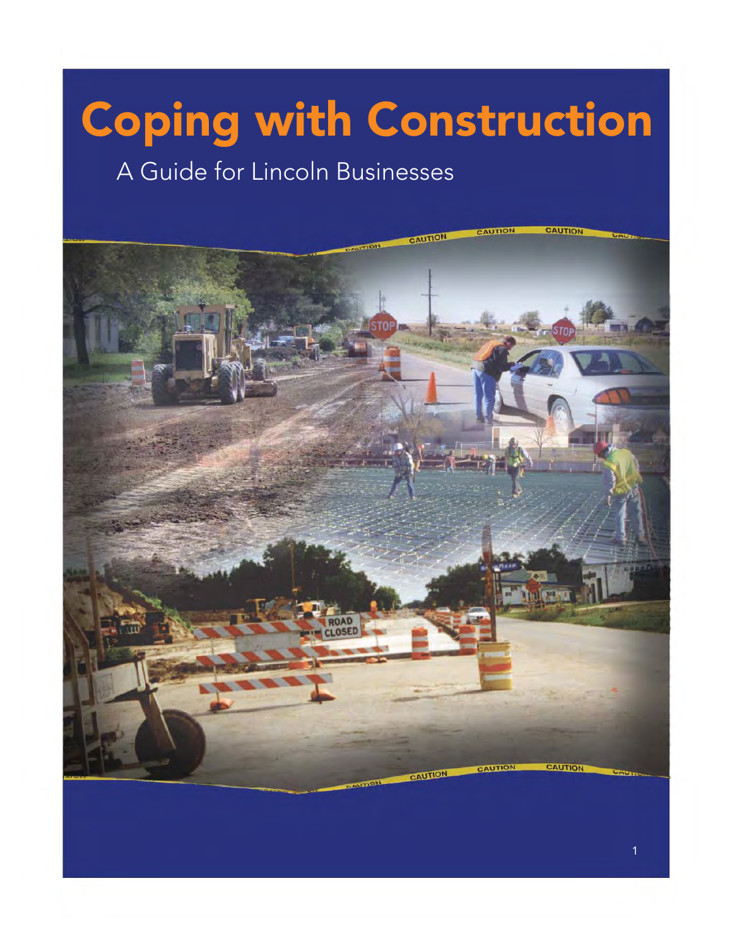# Coping with Construction

### A Guide for Lincoln Businesses

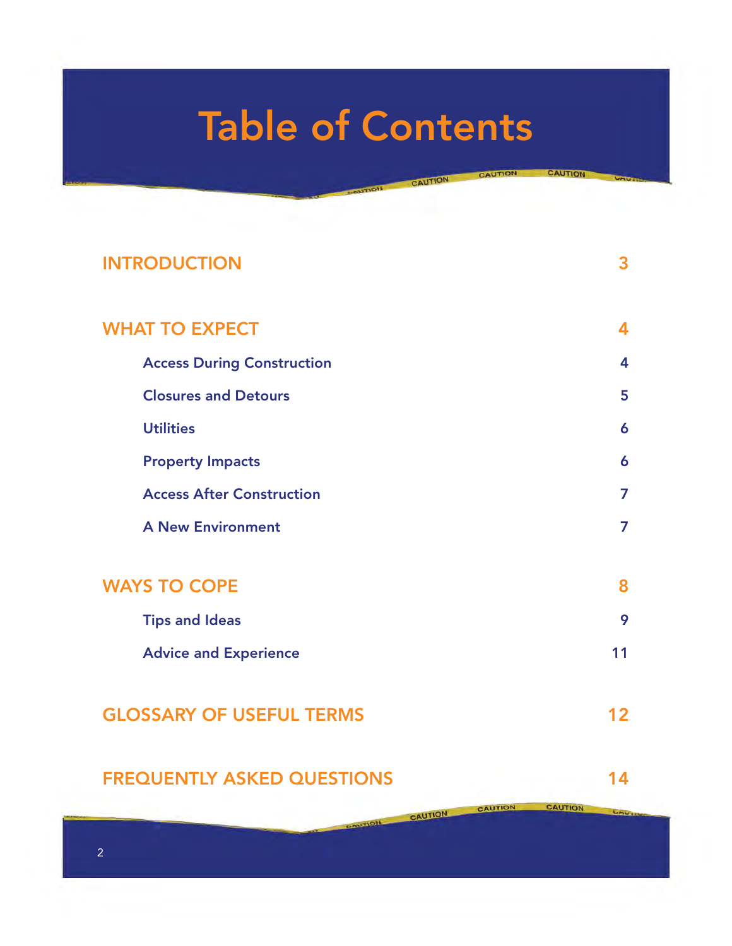## **Table of Contents**

---

CAUT

CAUTION

CAUTION

#### **[INTRODUCTION 3](#page-2-0)**

| 4  |
|----|
| 5  |
| 6  |
| 6  |
| 7  |
| 7  |
|    |
| 8  |
| 9  |
| 11 |
| 2  |
|    |

#### **[FREQUENTLY ASKED QUESTIONS 14](#page-13-0)**

**UMUI** 

**CAUTION** 

CAUTION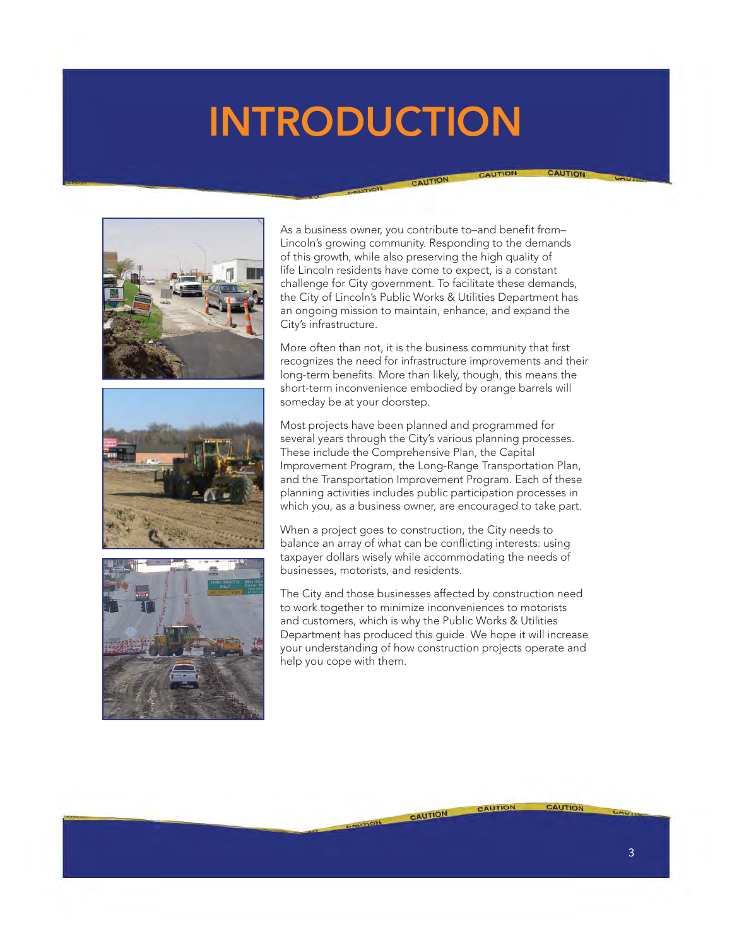### <span id="page-2-0"></span>**INTRODUCTION**







As a business owner, you contribute to-and benefit from-Lincoln's growing community. Responding to the demands of this growth, while also preserving the high quality of life Lincoln residents have come to expect, is a constant challenge for City government. To facilitate these demands, the City of Lincoln's Public Works & Utilities Department has an ongoing mission to maintain, enhance, and expand the City's infrastructure.

CAUTION

More often than not, it is the business community that first recognizes the need for infrastructure improvements and their long-term benefits. More than likely, though, this means the short-term inconvenience embodied by orange barrels will someday be at your doorstep.

Most projects have been planned and programmed for several years through the City's various planning processes. These include the Comprehensive Plan, the Capital Improvement Program, the Long-Range Transportation Plan, and the Transportation Improvement Program. Each of these planning activities includes public participation processes in which you, as a business owner, are encouraged to take part.

When a project goes to construction, the City needs to balance an array of what can be conflicting interests: using taxpayer dollars wisely while accommodating the needs of businesses, motorists, and residents.

The City and those businesses affected by construction need to work together to minimize inconveniences to motorists and customers, which is why the Public Works & Utilities Department has produced this guide. We hope it will increase your understanding of how construction projects operate and help you cope with them.

CAUTION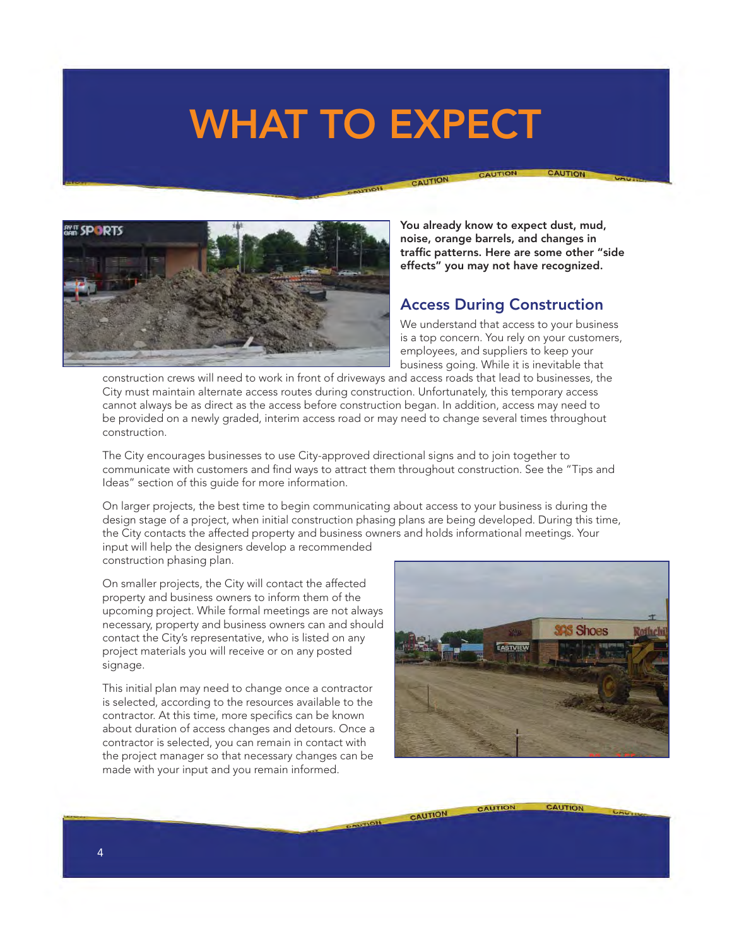### <span id="page-3-0"></span>**WHAT TO EXPECT**

CAUTION



**You already know to expect dust, mud, noise, orange barrels, and changes in**  traffic patterns. Here are some other "side **effects" you may not have recognized.**

#### **Access During Construction**

We understand that access to your business is a top concern. You rely on your customers, employees, and suppliers to keep your business going. While it is inevitable that

construction crews will need to work in front of driveways and access roads that lead to businesses, the City must maintain alternate access routes during construction. Unfortunately, this temporary access cannot always be as direct as the access before construction began. In addition, access may need to be provided on a newly graded, interim access road or may need to change several times throughout construction.

The City encourages businesses to use City-approved directional signs and to join together to communicate with customers and find ways to attract them throughout construction. See the "Tips and Ideas" section of this guide for more information.

On larger projects, the best time to begin communicating about access to your business is during the design stage of a project, when initial construction phasing plans are being developed. During this time, the City contacts the affected property and business owners and holds informational meetings. Your input will help the designers develop a recommended construction phasing plan.

On smaller projects, the City will contact the affected property and business owners to inform them of the upcoming project. While formal meetings are not always necessary, property and business owners can and should contact the City's representative, who is listed on any project materials you will receive or on any posted signage.

This initial plan may need to change once a contractor is selected, according to the resources available to the contractor. At this time, more specifics can be known about duration of access changes and detours. Once a contractor is selected, you can remain in contact with the project manager so that necessary changes can be made with your input and you remain informed.



CAUTION

CAUTION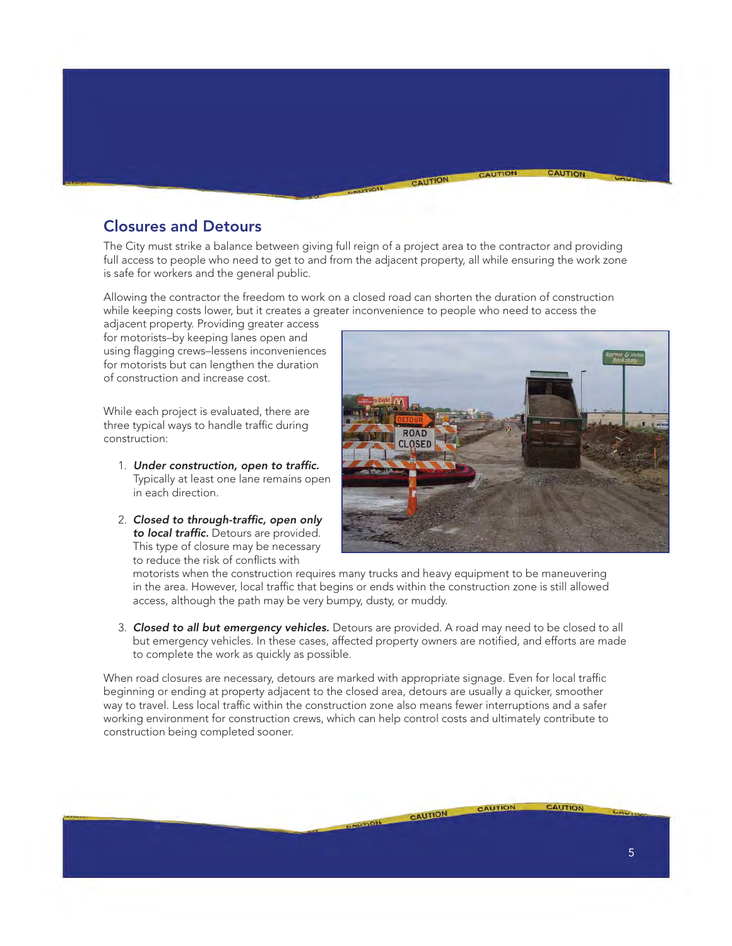<span id="page-4-0"></span>

#### **Closures and Detours**

The City must strike a balance between giving full reign of a project area to the contractor and providing full access to people who need to get to and from the adjacent property, all while ensuring the work zone is safe for workers and the general public.

Allowing the contractor the freedom to work on a closed road can shorten the duration of construction while keeping costs lower, but it creates a greater inconvenience to people who need to access the

adjacent property. Providing greater access for motorists–by keeping lanes open and using flagging crews–lessens inconveniences for motorists but can lengthen the duration of construction and increase cost.

While each project is evaluated, there are three typical ways to handle traffic during construction:

- 1. Under construction, open to traffic. Typically at least one lane remains open in each direction.
- 2. Closed to through-traffic, open only **to local traffic.** Detours are provided. This type of closure may be necessary to reduce the risk of conflicts with



motorists when the construction requires many trucks and heavy equipment to be maneuvering in the area. However, local traffic that begins or ends within the construction zone is still allowed access, although the path may be very bumpy, dusty, or muddy.

 3. *Closed to all but emergency vehicles.* Detours are provided. A road may need to be closed to all but emergency vehicles. In these cases, affected property owners are notified, and efforts are made to complete the work as quickly as possible.

When road closures are necessary, detours are marked with appropriate signage. Even for local traffic beginning or ending at property adjacent to the closed area, detours are usually a quicker, smoother way to travel. Less local traffic within the construction zone also means fewer interruptions and a safer working environment for construction crews, which can help control costs and ultimately contribute to construction being completed sooner.

CAUTION **AUTION** CAUTION 5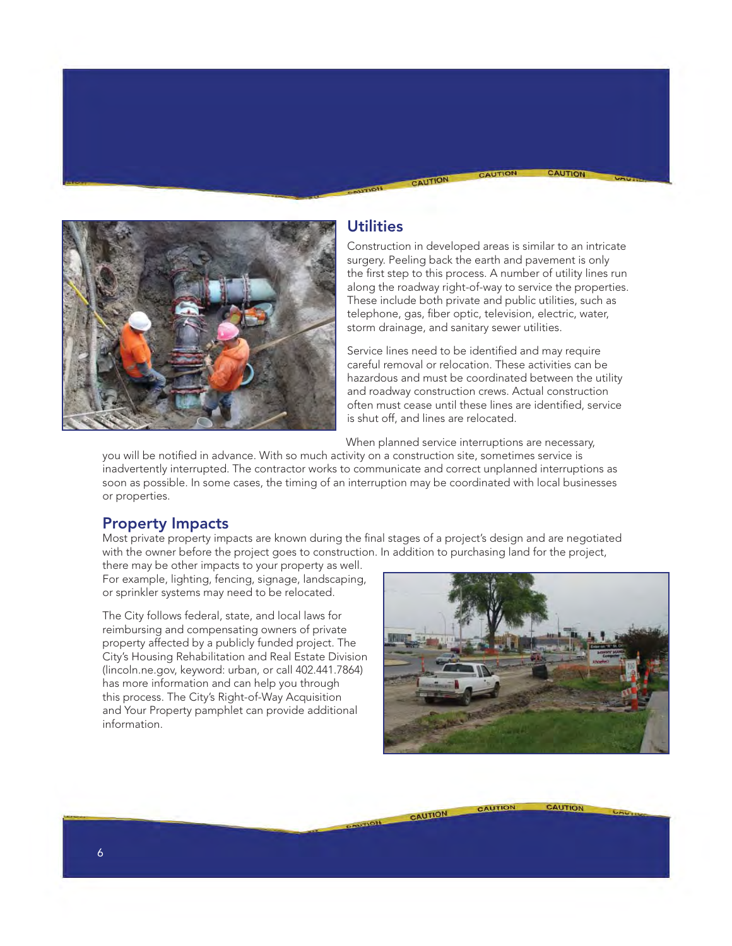<span id="page-5-0"></span>

#### **Utilities**

CAUTION

Construction in developed areas is similar to an intricate surgery. Peeling back the earth and pavement is only the first step to this process. A number of utility lines run along the roadway right-of-way to service the properties. These include both private and public utilities, such as telephone, gas, fiber optic, television, electric, water, storm drainage, and sanitary sewer utilities.

Service lines need to be identified and may require careful removal or relocation. These activities can be hazardous and must be coordinated between the utility and roadway construction crews. Actual construction often must cease until these lines are identified, service is shut off, and lines are relocated.

When planned service interruptions are necessary,

you will be notified in advance. With so much activity on a construction site, sometimes service is inadvertently interrupted. The contractor works to communicate and correct unplanned interruptions as soon as possible. In some cases, the timing of an interruption may be coordinated with local businesses or properties.

#### **Property Impacts**

Most private property impacts are known during the final stages of a project's design and are negotiated with the owner before the project goes to construction. In addition to purchasing land for the project,

there may be other impacts to your property as well. For example, lighting, fencing, signage, landscaping, or sprinkler systems may need to be relocated.

The City follows federal, state, and local laws for reimbursing and compensating owners of private property affected by a publicly funded project. The City's Housing Rehabilitation and Real Estate Division (lincoln.ne.gov, keyword: urban, or call 402.441.7864) has more information and can help you through this process. The City's Right-of-Way Acquisition and Your Property pamphlet can provide additional information.



**CAUTION** 

CAUTION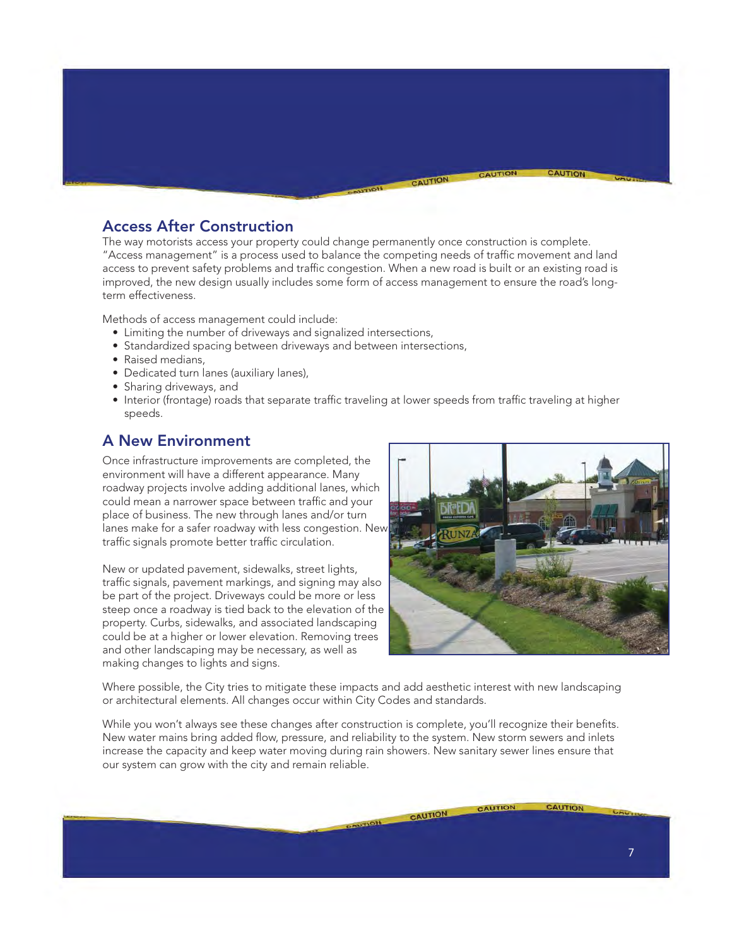#### <span id="page-6-0"></span>**Access After Construction**

The way motorists access your property could change permanently once construction is complete. "Access management" is a process used to balance the competing needs of traffic movement and land access to prevent safety problems and traffic congestion. When a new road is built or an existing road is improved, the new design usually includes some form of access management to ensure the road's longterm effectiveness.

CAUTION

Methods of access management could include:

- Limiting the number of driveways and signalized intersections,
- Standardized spacing between driveways and between intersections,
- Raised medians,
- Dedicated turn lanes (auxiliary lanes),
- Sharing driveways, and
- Interior (frontage) roads that separate traffic traveling at lower speeds from traffic traveling at higher speeds.

#### **A New Environment**

Once infrastructure improvements are completed, the environment will have a different appearance. Many roadway projects involve adding additional lanes, which could mean a narrower space between traffic and your place of business. The new through lanes and/or turn lanes make for a safer roadway with less congestion. New traffic signals promote better traffic circulation.

New or updated pavement, sidewalks, street lights, traffic signals, pavement markings, and signing may also be part of the project. Driveways could be more or less steep once a roadway is tied back to the elevation of the property. Curbs, sidewalks, and associated landscaping could be at a higher or lower elevation. Removing trees and other landscaping may be necessary, as well as making changes to lights and signs.



CAUTION

CAUTION

**AUTION** 

Where possible, the City tries to mitigate these impacts and add aesthetic interest with new landscaping or architectural elements. All changes occur within City Codes and standards.

While you won't always see these changes after construction is complete, you'll recognize their benefits. New water mains bring added flow, pressure, and reliability to the system. New storm sewers and inlets increase the capacity and keep water moving during rain showers. New sanitary sewer lines ensure that our system can grow with the city and remain reliable.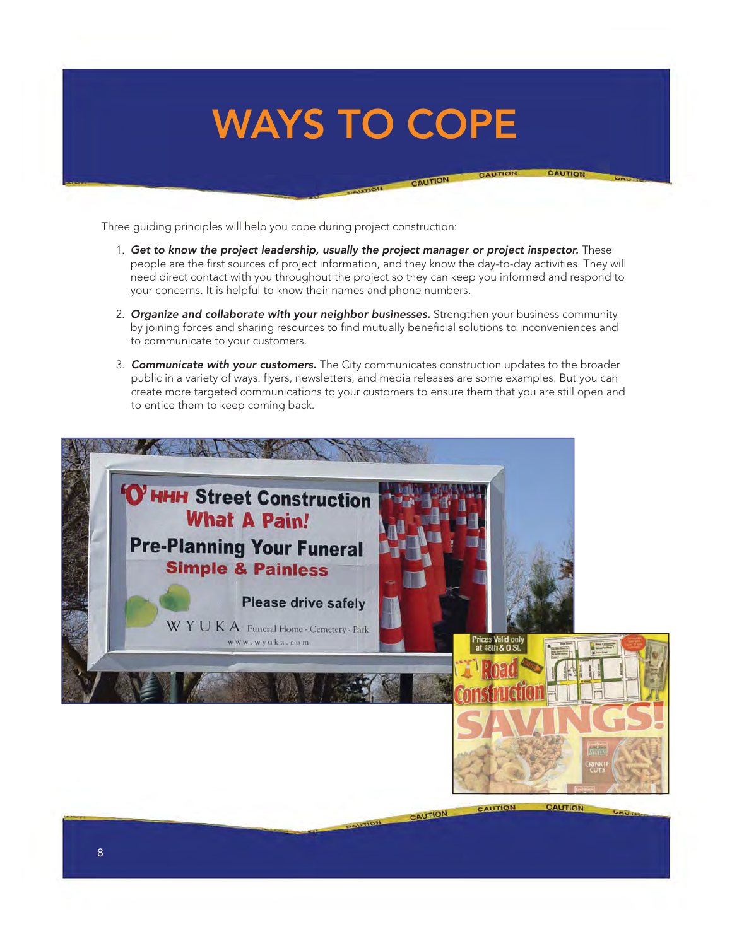### <span id="page-7-0"></span>**WAYS TO COPE**

Three guiding principles will help you cope during project construction:

1. Get to know the project leadership, usually the project manager or project inspector. These people are the first sources of project information, and they know the day-to-day activities. They will need direct contact with you throughout the project so they can keep you informed and respond to your concerns. It is helpful to know their names and phone numbers.

CAUTION

- 2. *Organize and collaborate with your neighbor businesses.* Strengthen your business community by joining forces and sharing resources to find mutually beneficial solutions to inconveniences and to communicate to your customers.
- 3. *Communicate with your customers.* The City communicates construction updates to the broader public in a variety of ways: flyers, newsletters, and media releases are some examples. But you can create more targeted communications to your customers to ensure them that you are still open and to entice them to keep coming back.



CAUTION

CALITIC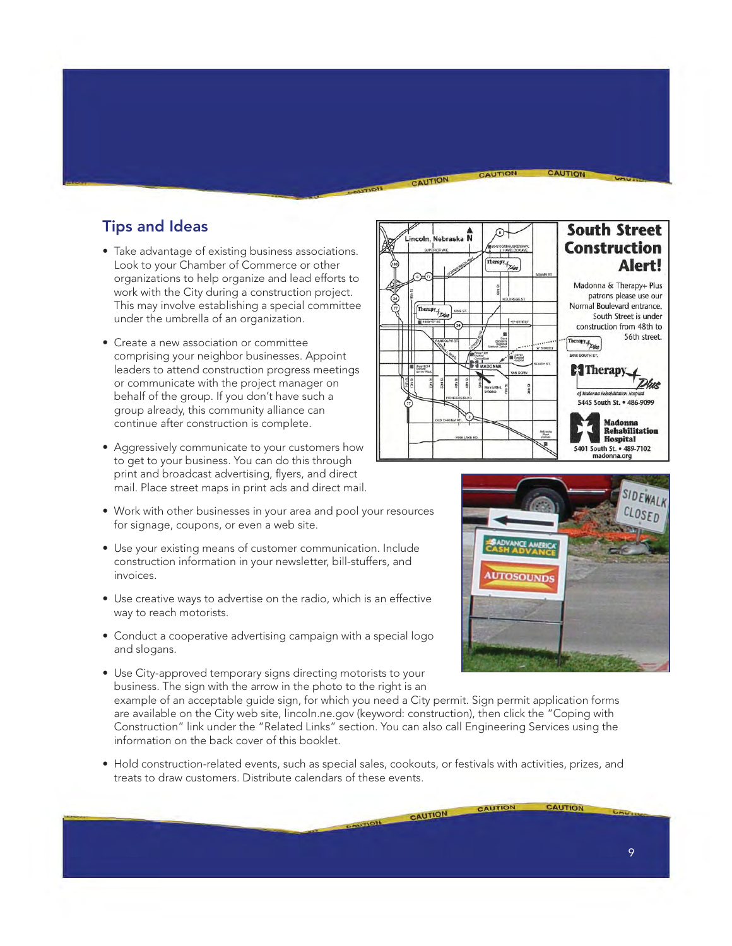#### <span id="page-8-0"></span>**Tips and Ideas**

- Take advantage of existing business associations. Look to your Chamber of Commerce or other organizations to help organize and lead efforts to work with the City during a construction project. This may involve establishing a special committee under the umbrella of an organization.
- Create a new association or committee comprising your neighbor businesses. Appoint leaders to attend construction progress meetings or communicate with the project manager on behalf of the group. If you don't have such a group already, this community alliance can continue after construction is complete.
- Aggressively communicate to your customers how to get to your business. You can do this through print and broadcast advertising, flyers, and direct mail. Place street maps in print ads and direct mail.
- Work with other businesses in your area and pool your resources for signage, coupons, or even a web site.
- Use your existing means of customer communication. Include construction information in your newsletter, bill-stuffers, and invoices.
- Use creative ways to advertise on the radio, which is an effective way to reach motorists.
- Conduct a cooperative advertising campaign with a special logo and slogans.
- Use City-approved temporary signs directing motorists to your business. The sign with the arrow in the photo to the right is an

example of an acceptable guide sign, for which you need a City permit. Sign permit application forms are available on the City web site, lincoln.ne.gov (keyword: construction), then click the "Coping with Construction" link under the "Related Links" section. You can also call Engineering Services using the information on the back cover of this booklet.

• Hold construction-related events, such as special sales, cookouts, or festivals with activities, prizes, and treats to draw customers. Distribute calendars of these events.



CAUTION

CAUTION



**CAUTION** 

CAUTION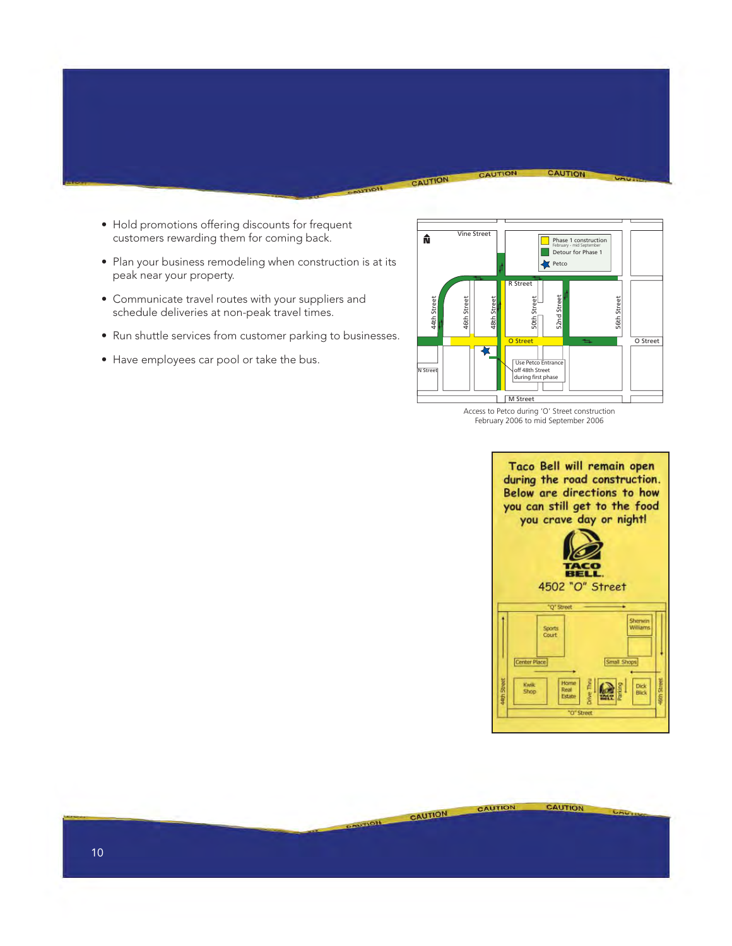- Hold promotions offering discounts for frequent customers rewarding them for coming back.
- Plan your business remodeling when construction is at its peak near your property.
- Communicate travel routes with your suppliers and schedule deliveries at non-peak travel times.
- Run shuttle services from customer parking to businesses.
- Have employees car pool or take the bus.



CAUTION

CAUTION

CAUTION

 $-10<sub>1</sub>$ 

Access to Petco during 'O' Street construction February 2006 to mid September 2006

CAUTION

CAUTION

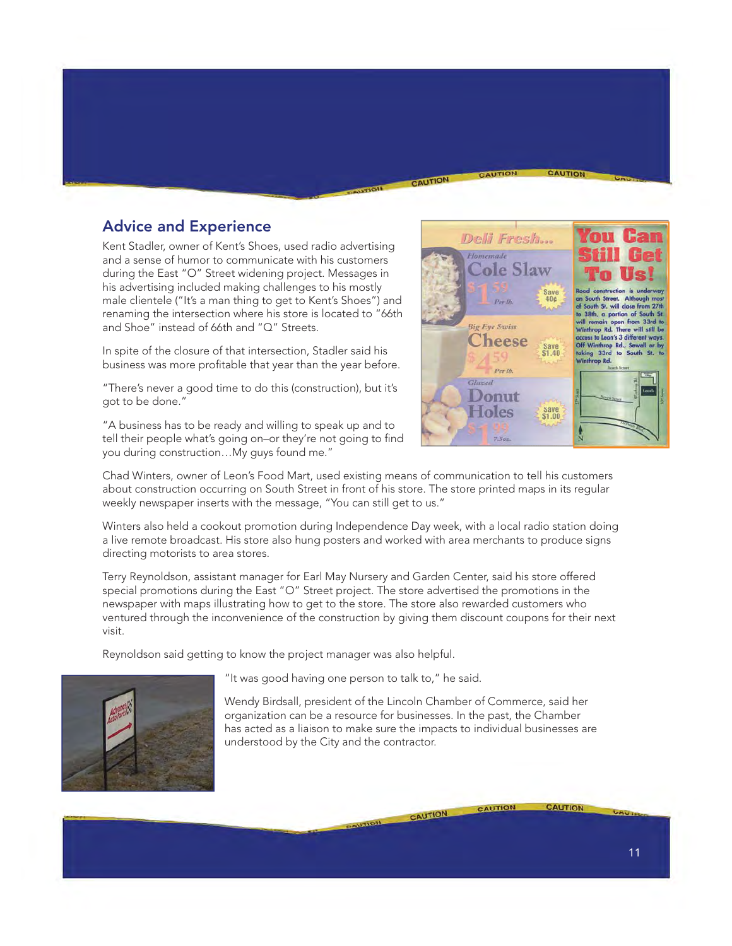#### <span id="page-10-0"></span>**Advice and Experience**

Kent Stadler, owner of Kent's Shoes, used radio advertising and a sense of humor to communicate with his customers during the East "O" Street widening project. Messages in his advertising included making challenges to his mostly male clientele ("It's a man thing to get to Kent's Shoes") and renaming the intersection where his store is located to "66th and Shoe" instead of 66th and "Q" Streets.

In spite of the closure of that intersection, Stadler said his business was more profitable that year than the year before.

"There's never a good time to do this (construction), but it's got to be done."

"A business has to be ready and willing to speak up and to tell their people what's going on-or they're not going to find you during construction…My guys found me."



CAUTION

Chad Winters, owner of Leon's Food Mart, used existing means of communication to tell his customers about construction occurring on South Street in front of his store. The store printed maps in its regular weekly newspaper inserts with the message, "You can still get to us."

Winters also held a cookout promotion during Independence Day week, with a local radio station doing a live remote broadcast. His store also hung posters and worked with area merchants to produce signs directing motorists to area stores.

Terry Reynoldson, assistant manager for Earl May Nursery and Garden Center, said his store offered special promotions during the East "O" Street project. The store advertised the promotions in the newspaper with maps illustrating how to get to the store. The store also rewarded customers who ventured through the inconvenience of the construction by giving them discount coupons for their next visit.

Reynoldson said getting to know the project manager was also helpful.



"It was good having one person to talk to," he said.

Wendy Birdsall, president of the Lincoln Chamber of Commerce, said her organization can be a resource for businesses. In the past, the Chamber has acted as a liaison to make sure the impacts to individual businesses are understood by the City and the contractor.

CAUTION

**CAUTION** 

**CAUTION**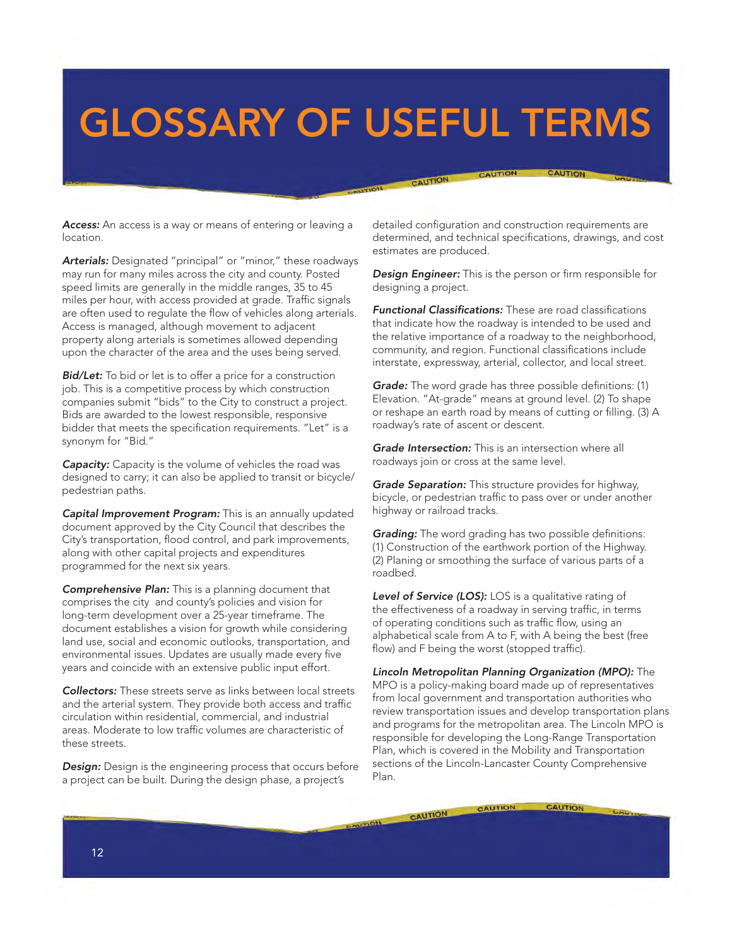### <span id="page-11-0"></span>**GLOSSARY OF USEFUL TERMS**

*Access:* An access is a way or means of entering or leaving a location.

*Arterials:* Designated "principal" or "minor," these roadways may run for many miles across the city and county. Posted speed limits are generally in the middle ranges, 35 to 45 miles per hour, with access provided at grade. Traffic signals are often used to regulate the flow of vehicles along arterials. Access is managed, although movement to adjacent property along arterials is sometimes allowed depending upon the character of the area and the uses being served.

*Bid/Let:* To bid or let is to offer a price for a construction job. This is a competitive process by which construction companies submit "bids" to the City to construct a project. Bids are awarded to the lowest responsible, responsive bidder that meets the specification requirements. "Let" is a synonym for "Bid."

**Capacity:** Capacity is the volume of vehicles the road was designed to carry; it can also be applied to transit or bicycle/ pedestrian paths.

*Capital Improvement Program:* This is an annually updated document approved by the City Council that describes the City's transportation, flood control, and park improvements, along with other capital projects and expenditures programmed for the next six years.

*Comprehensive Plan:* This is a planning document that comprises the city and county's policies and vision for long-term development over a 25-year timeframe. The document establishes a vision for growth while considering land use, social and economic outlooks, transportation, and environmental issues. Updates are usually made every five years and coincide with an extensive public input effort.

*Collectors:* These streets serve as links between local streets and the arterial system. They provide both access and traffic circulation within residential, commercial, and industrial areas. Moderate to low traffic volumes are characteristic of these streets.

**Design:** Design is the engineering process that occurs before a project can be built. During the design phase, a project's

detailed configuration and construction requirements are determined, and technical specifications, drawings, and cost estimates are produced.

CAUTION

CAUTION

CAUTION

**Design Engineer:** This is the person or firm responsible for designing a project.

**Functional Classifications:** These are road classifications that indicate how the roadway is intended to be used and the relative importance of a roadway to the neighborhood, community, and region. Functional classifications include interstate, expressway, arterial, collector, and local street.

*Grade:* The word grade has three possible definitions: (1) Elevation. "At-grade" means at ground level. (2) To shape or reshape an earth road by means of cutting or filling. (3) A roadway's rate of ascent or descent.

*Grade Intersection:* This is an intersection where all roadways join or cross at the same level.

*Grade Separation:* This structure provides for highway, bicycle, or pedestrian traffic to pass over or under another highway or railroad tracks.

*Grading:* The word grading has two possible definitions: (1) Construction of the earthwork portion of the Highway. (2) Planing or smoothing the surface of various parts of a roadbed.

Level of Service (LOS): LOS is a qualitative rating of the effectiveness of a roadway in serving traffic, in terms of operating conditions such as traffic flow, using an alphabetical scale from A to F, with A being the best (free flow) and F being the worst (stopped traffic).

*Lincoln Metropolitan Planning Organization (MPO):* The MPO is a policy-making board made up of representatives from local government and transportation authorities who review transportation issues and develop transportation plans and programs for the metropolitan area. The Lincoln MPO is responsible for developing the Long-Range Transportation Plan, which is covered in the Mobility and Transportation sections of the Lincoln-Lancaster County Comprehensive Plan.

**CAUTION** 

CAUTION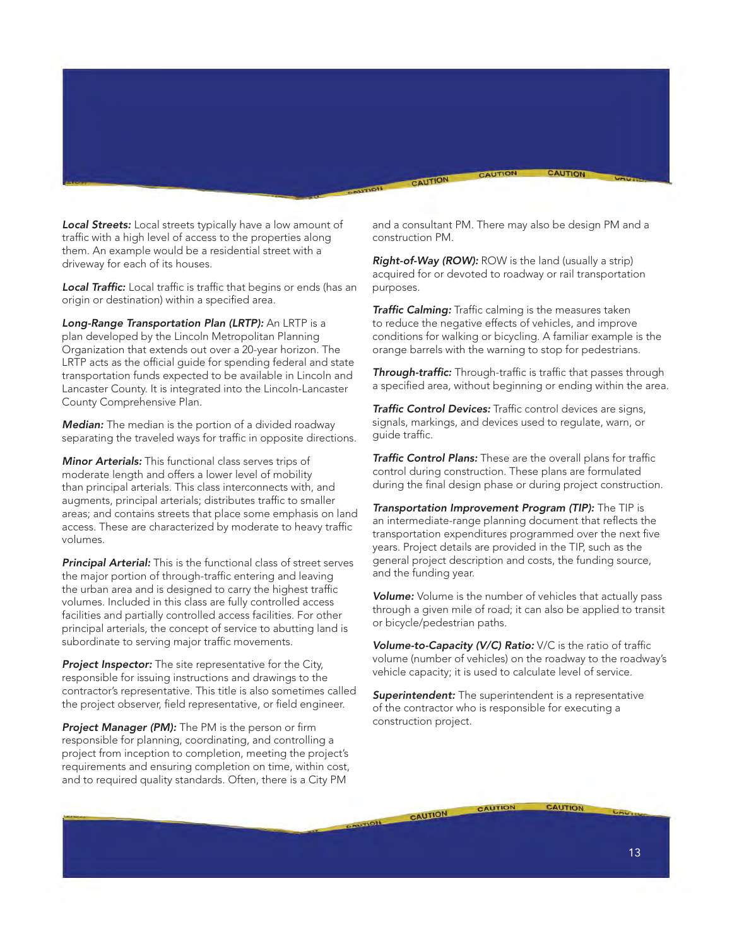*Local Streets:* Local streets typically have a low amount of traffic with a high level of access to the properties along them. An example would be a residential street with a driveway for each of its houses.

**Local Traffic:** Local traffic is traffic that begins or ends (has an origin or destination) within a specified area.

*Long-Range Transportation Plan (LRTP):* An LRTP is a plan developed by the Lincoln Metropolitan Planning Organization that extends out over a 20-year horizon. The LRTP acts as the official quide for spending federal and state transportation funds expected to be available in Lincoln and Lancaster County. It is integrated into the Lincoln-Lancaster County Comprehensive Plan.

*Median:* The median is the portion of a divided roadway separating the traveled ways for traffic in opposite directions.

*Minor Arterials:* This functional class serves trips of moderate length and offers a lower level of mobility than principal arterials. This class interconnects with, and augments, principal arterials; distributes traffic to smaller areas; and contains streets that place some emphasis on land access. These are characterized by moderate to heavy traffic volumes.

*Principal Arterial:* This is the functional class of street serves the major portion of through-traffic entering and leaving the urban area and is designed to carry the highest traffic volumes. Included in this class are fully controlled access facilities and partially controlled access facilities. For other principal arterials, the concept of service to abutting land is subordinate to serving major traffic movements.

*Project Inspector:* The site representative for the City, responsible for issuing instructions and drawings to the contractor's representative. This title is also sometimes called the project observer, field representative, or field engineer.

**Project Manager (PM):** The PM is the person or firm responsible for planning, coordinating, and controlling a project from inception to completion, meeting the project's requirements and ensuring completion on time, within cost, and to required quality standards. Often, there is a City PM

and a consultant PM. There may also be design PM and a construction PM.

CAUTION

CAUTION

CAUTION

*Right-of-Way (ROW):* ROW is the land (usually a strip) acquired for or devoted to roadway or rail transportation purposes.

**Traffic Calming:** Traffic calming is the measures taken to reduce the negative effects of vehicles, and improve conditions for walking or bicycling. A familiar example is the orange barrels with the warning to stop for pedestrians.

**Through-traffic:** Through-traffic is traffic that passes through a specified area, without beginning or ending within the area.

**Traffic Control Devices:** Traffic control devices are signs, signals, markings, and devices used to regulate, warn, or quide traffic.

**Traffic Control Plans:** These are the overall plans for traffic control during construction. These plans are formulated during the final design phase or during project construction.

*Transportation Improvement Program (TIP):* The TIP is an intermediate-range planning document that reflects the transportation expenditures programmed over the next five years. Project details are provided in the TIP, such as the general project description and costs, the funding source, and the funding year.

*Volume:* Volume is the number of vehicles that actually pass through a given mile of road; it can also be applied to transit or bicycle/pedestrian paths.

**Volume-to-Capacity (V/C) Ratio:** V/C is the ratio of traffic volume (number of vehicles) on the roadway to the roadway's vehicle capacity; it is used to calculate level of service.

**Superintendent:** The superintendent is a representative of the contractor who is responsible for executing a construction project.

CAUTION

CAUTION

CAUTION

13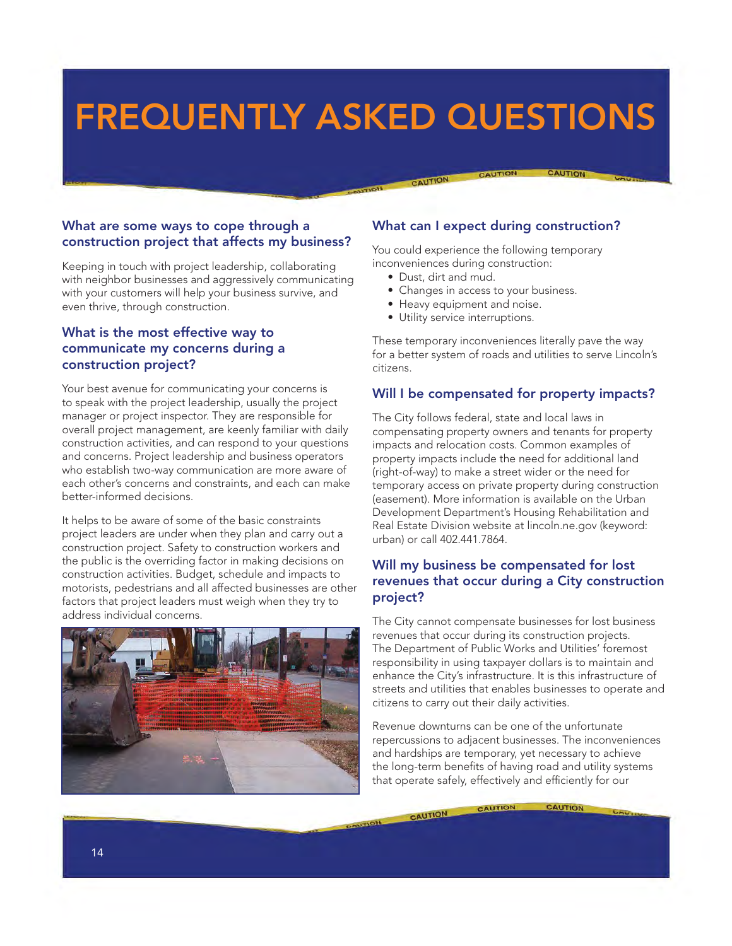### <span id="page-13-0"></span>**FREQUENTLY ASKED QUESTIONS**

#### **What are some ways to cope through a construction project that affects my business?**

Keeping in touch with project leadership, collaborating with neighbor businesses and aggressively communicating with your customers will help your business survive, and even thrive, through construction.

#### **What is the most effective way to communicate my concerns during a construction project?**

Your best avenue for communicating your concerns is to speak with the project leadership, usually the project manager or project inspector. They are responsible for overall project management, are keenly familiar with daily construction activities, and can respond to your questions and concerns. Project leadership and business operators who establish two-way communication are more aware of each other's concerns and constraints, and each can make better-informed decisions.

It helps to be aware of some of the basic constraints project leaders are under when they plan and carry out a construction project. Safety to construction workers and the public is the overriding factor in making decisions on construction activities. Budget, schedule and impacts to motorists, pedestrians and all affected businesses are other factors that project leaders must weigh when they try to address individual concerns.



#### **What can I expect during construction?**

You could experience the following temporary inconveniences during construction:

• Dust, dirt and mud.

CAUTION

- Changes in access to your business.
- Heavy equipment and noise.
- Utility service interruptions.

These temporary inconveniences literally pave the way for a better system of roads and utilities to serve Lincoln's citizens.

#### **Will I be compensated for property impacts?**

The City follows federal, state and local laws in compensating property owners and tenants for property impacts and relocation costs. Common examples of property impacts include the need for additional land (right-of-way) to make a street wider or the need for temporary access on private property during construction (easement). More information is available on the Urban Development Department's Housing Rehabilitation and Real Estate Division website at lincoln.ne.gov (keyword: urban) or call 402.441.7864.

#### **Will my business be compensated for lost revenues that occur during a City construction project?**

The City cannot compensate businesses for lost business revenues that occur during its construction projects. The Department of Public Works and Utilities' foremost responsibility in using taxpayer dollars is to maintain and enhance the City's infrastructure. It is this infrastructure of streets and utilities that enables businesses to operate and citizens to carry out their daily activities.

Revenue downturns can be one of the unfortunate repercussions to adjacent businesses. The inconveniences and hardships are temporary, yet necessary to achieve the long-term benefits of having road and utility systems that operate safely, effectively and efficiently for our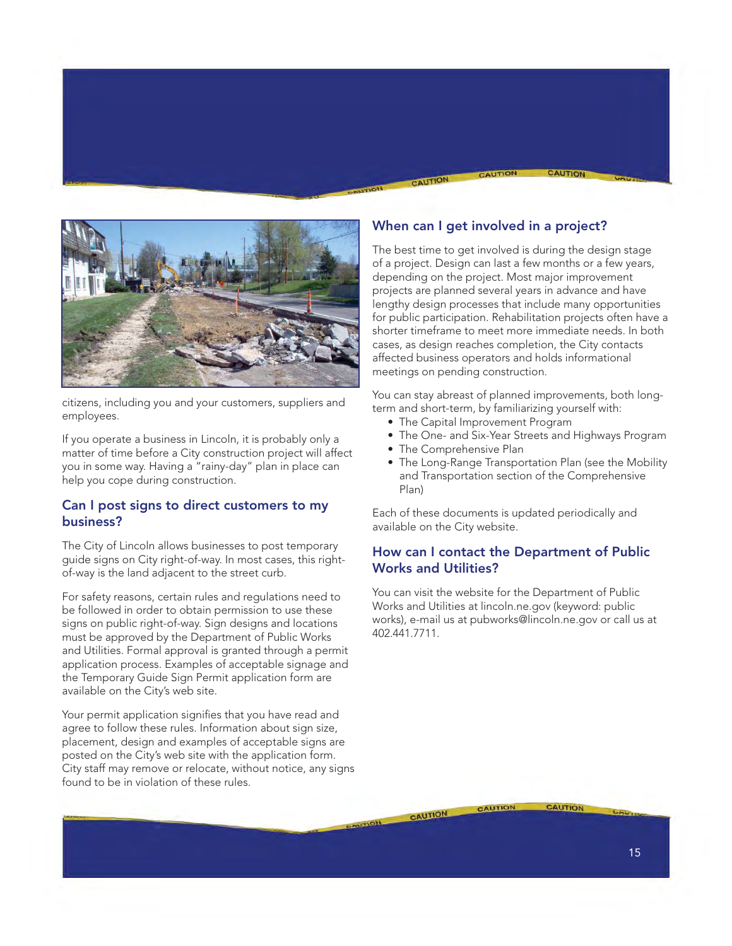

citizens, including you and your customers, suppliers and employees.

If you operate a business in Lincoln, it is probably only a matter of time before a City construction project will affect you in some way. Having a "rainy-day" plan in place can help you cope during construction.

#### **Can I post signs to direct customers to my business?**

The City of Lincoln allows businesses to post temporary guide signs on City right-of-way. In most cases, this rightof-way is the land adjacent to the street curb.

For safety reasons, certain rules and regulations need to be followed in order to obtain permission to use these signs on public right-of-way. Sign designs and locations must be approved by the Department of Public Works and Utilities. Formal approval is granted through a permit application process. Examples of acceptable signage and the Temporary Guide Sign Permit application form are available on the City's web site.

Your permit application signifies that you have read and agree to follow these rules. Information about sign size, placement, design and examples of acceptable signs are posted on the City's web site with the application form. City staff may remove or relocate, without notice, any signs found to be in violation of these rules.

#### **When can I get involved in a project?**

CAUTION

The best time to get involved is during the design stage of a project. Design can last a few months or a few years, depending on the project. Most major improvement projects are planned several years in advance and have lengthy design processes that include many opportunities for public participation. Rehabilitation projects often have a shorter timeframe to meet more immediate needs. In both cases, as design reaches completion, the City contacts affected business operators and holds informational meetings on pending construction.

You can stay abreast of planned improvements, both longterm and short-term, by familiarizing yourself with:

- The Capital Improvement Program
- The One- and Six-Year Streets and Highways Program
- The Comprehensive Plan
- The Long-Range Transportation Plan (see the Mobility and Transportation section of the Comprehensive Plan)

Each of these documents is updated periodically and available on the City website.

#### **How can I contact the Department of Public Works and Utilities?**

You can visit the website for the Department of Public Works and Utilities at lincoln.ne.gov (keyword: public works), e-mail us at pubworks@lincoln.ne.gov or call us at 402.441.7711.

CAUTION

CAUTION